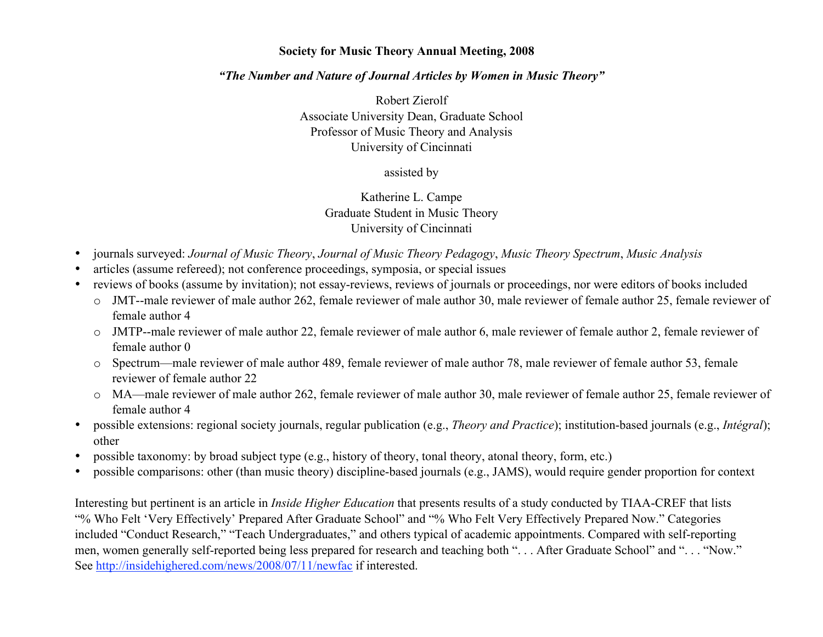#### Society for Music Theory Annual Meeting, 2008

#### *"The Number and Nature of Journal Articles by Women in Music Theory"*

Robert Zierolf Associate University Dean, Graduate School Professor of Music Theory and Analysis University of Cincinnati

assisted by

Katherine L. Campe Graduate Student in Music Theory University of Cincinnati

- journals surveyed: *Journal of Music Theory*, *Journal of Music Theory Pedagogy*, *Music Theory Spectrum*, *Music Analysis*
- articles (assume refereed); not conference proceedings, symposia, or special issues
- reviews of books (assume by invitation); not essay-reviews, reviews of journals or proceedings, nor were editors of books included
	- o JMT--male reviewer of male author 262, female reviewer of male author 30, male reviewer of female author 25, female reviewer of female author 4
	- o JMTP--male reviewer of male author 22, female reviewer of male author 6, male reviewer of female author 2, female reviewer of female author 0
	- o Spectrum—male reviewer of male author 489, female reviewer of male author 78, male reviewer of female author 53, female reviewer of female author 22
	- o MA—male reviewer of male author 262, female reviewer of male author 30, male reviewer of female author 25, female reviewer of female author 4
- possible extensions: regional society journals, regular publication (e.g., *Theory and Practice*); institution-based journals (e.g., *Intégral*); other
- possible taxonomy: by broad subject type (e.g., history of theory, tonal theory, atonal theory, form, etc.)
- possible comparisons: other (than music theory) discipline-based journals (e.g., JAMS), would require gender proportion for context

Interesting but pertinent is an article in *Inside Higher Education* that presents results of a study conducted by TIAA-CREF that lists "% Who Felt 'Very Effectively' Prepared After Graduate School" and "% Who Felt Very Effectively Prepared Now." Categories included "Conduct Research," "Teach Undergraduates," and others typical of academic appointments. Compared with self-reporting men, women generally self-reported being less prepared for research and teaching both ". . . After Graduate School" and ". . . "Now." See http://insidehighered.com/news/2008/07/11/newfac if interested.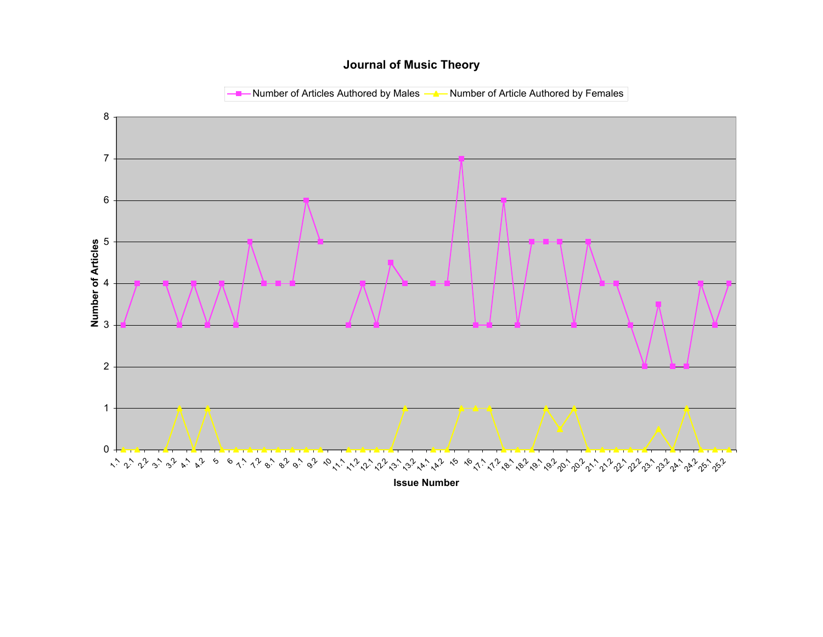#### **Journal of Music Theory**

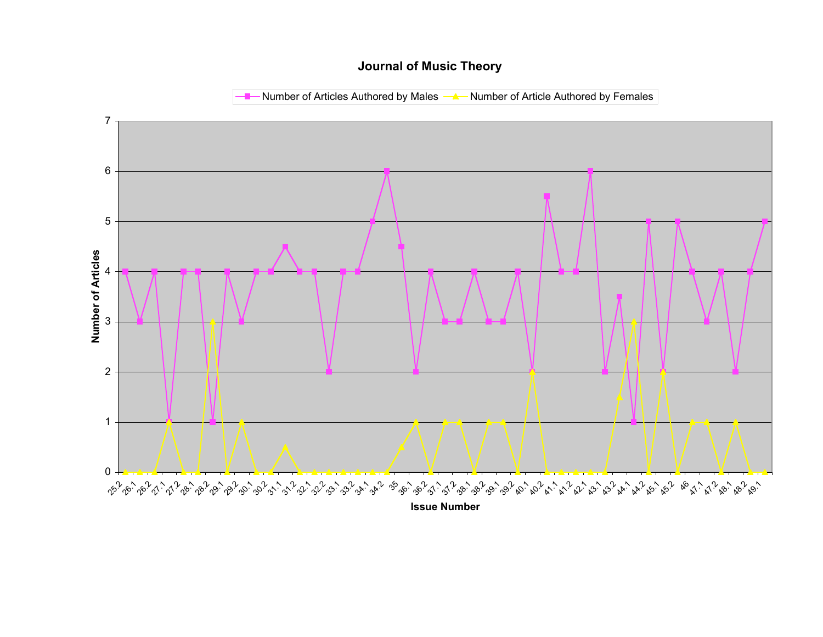# **Journal of Music Theory**

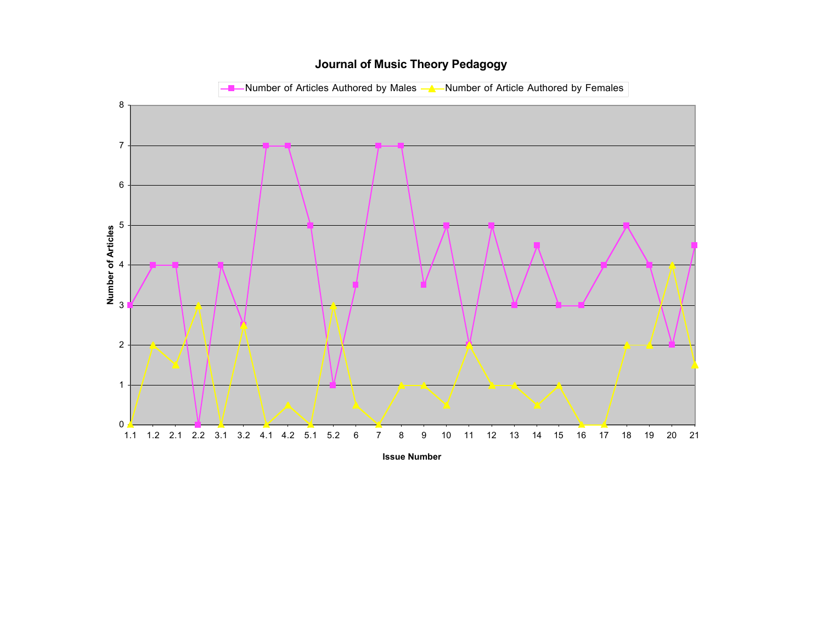### **Journal of Music Theory Pedagogy**

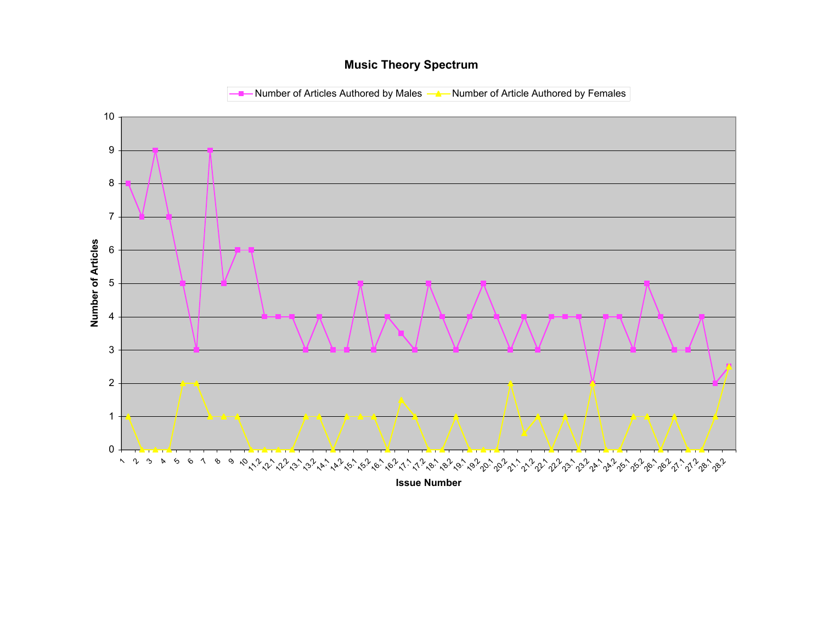### **Music Theory Spectrum**

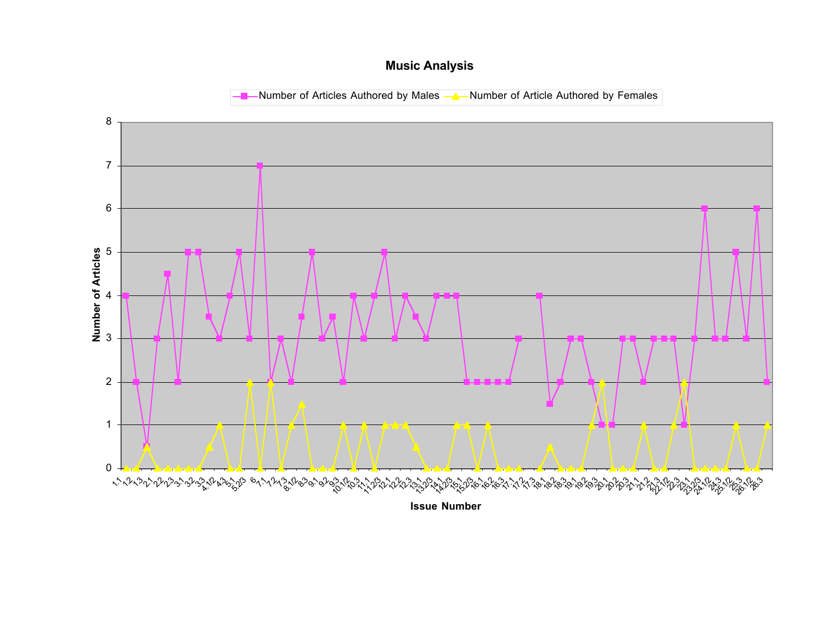# **Music Analysis**

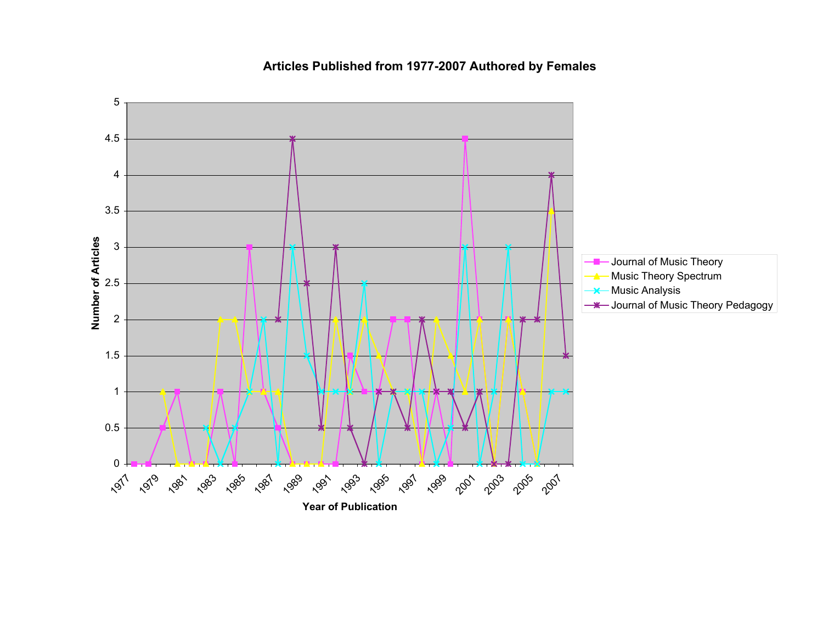

# **Articles Published from 1977-2007 Authored by Females**

**Year of Publication**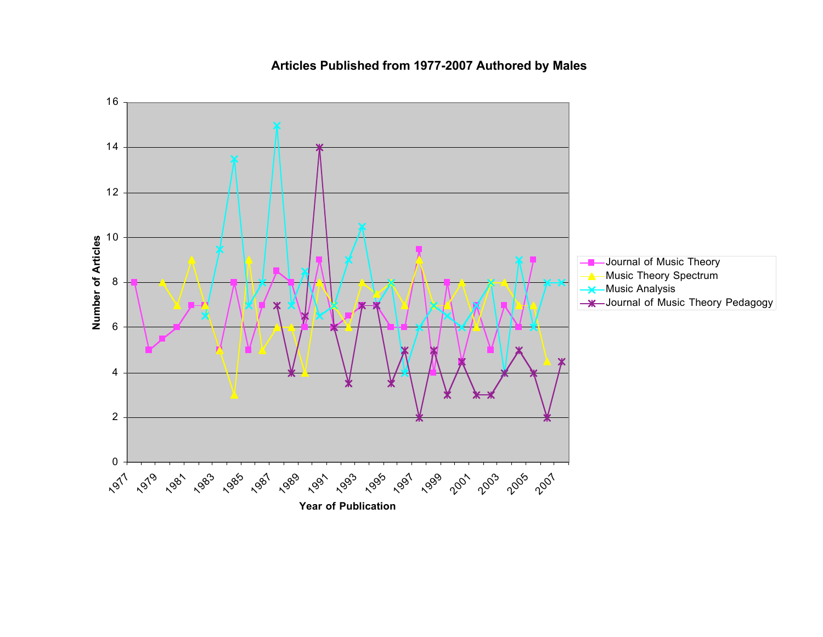

### **Articles Published from 1977-2007 Authored by Males**